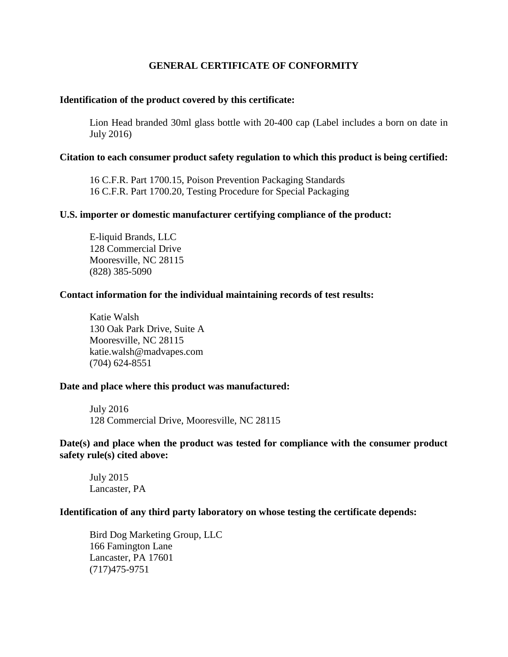# **GENERAL CERTIFICATE OF CONFORMITY**

## **Identification of the product covered by this certificate:**

Lion Head branded 30ml glass bottle with 20-400 cap (Label includes a born on date in July 2016)

## **Citation to each consumer product safety regulation to which this product is being certified:**

16 C.F.R. Part 1700.15, Poison Prevention Packaging Standards 16 C.F.R. Part 1700.20, Testing Procedure for Special Packaging

## **U.S. importer or domestic manufacturer certifying compliance of the product:**

E-liquid Brands, LLC 128 Commercial Drive Mooresville, NC 28115 (828) 385-5090

## **Contact information for the individual maintaining records of test results:**

Katie Walsh 130 Oak Park Drive, Suite A Mooresville, NC 28115 katie.walsh@madvapes.com (704) 624-8551

### **Date and place where this product was manufactured:**

July 2016 128 Commercial Drive, Mooresville, NC 28115

## **Date(s) and place when the product was tested for compliance with the consumer product safety rule(s) cited above:**

July 2015 Lancaster, PA

## **Identification of any third party laboratory on whose testing the certificate depends:**

Bird Dog Marketing Group, LLC 166 Famington Lane Lancaster, PA 17601 (717)475-9751